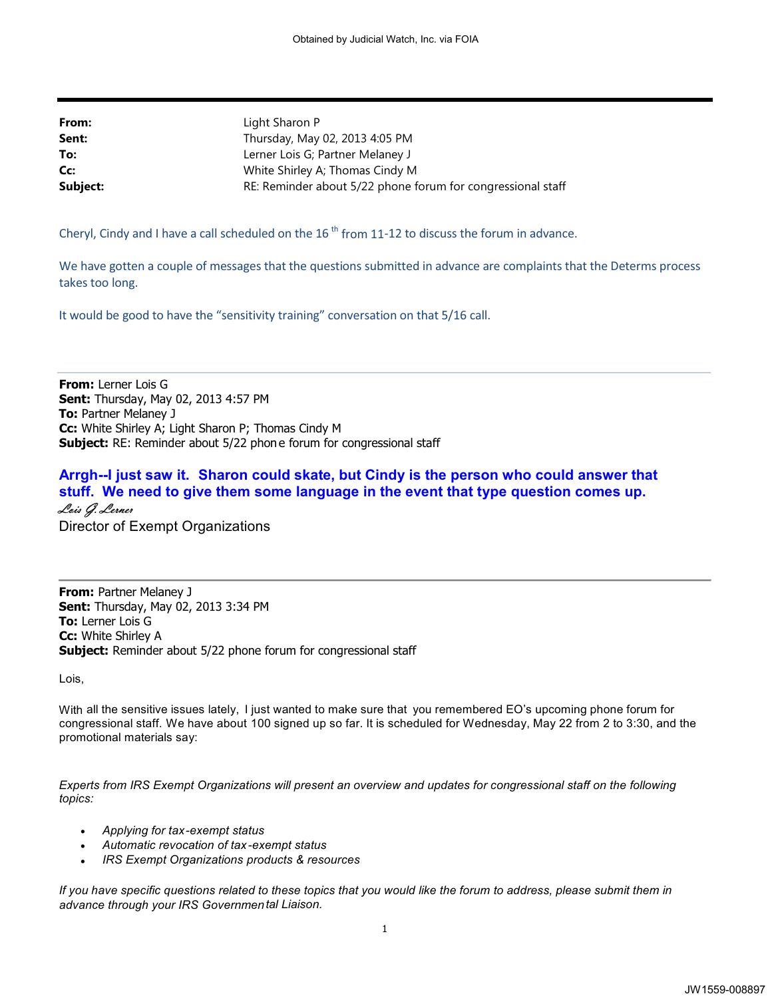| From:    | Light Sharon P                                              |
|----------|-------------------------------------------------------------|
| Sent:    | Thursday, May 02, 2013 4:05 PM                              |
| To:      | Lerner Lois G; Partner Melaney J                            |
| Cc:      | White Shirley A; Thomas Cindy M                             |
| Subject: | RE: Reminder about 5/22 phone forum for congressional staff |

Cheryl, Cindy and I have a call scheduled on the 16<sup>th</sup> from 11-12 to discuss the forum in advance.

We have gotten a couple of messages that the questions submitted in advance are complaints that the Determs process takes too long.

It would be good to have the "sensitivity training" conversation on that 5/16 call.

**From:** Lerner Lois G **Sent:** Thursday, May 02, 2013 4:57 PM **To:** Partner Melaney J **Cc:** White Shirley A; Light Sharon P; Thomas Cindy M **Subject:** RE: Reminder about 5/22 phon e forum for congressional staff

## **Arrgh--I just saw it. Sharon could skate, but Cindy is the person who could answer that stuff. We need to give them some language in the event that type question comes up. Lois G. Lerner** Director of Exempt Organizations

**From: Partner Melaney J Sent:** Thursday, May 02, 2013 3:34 PM **To:** Lerner Lois G **Cc:** White Shirley A **Subject:** Reminder about 5/22 phone forum for congressional staff

Lois,

With all the sensitive issues lately, I just wanted to make sure that you remembered EO's upcoming phone forum for congressional staff. We have about 100 signed up so far. It is scheduled for Wednesday, May 22 from 2 to 3:30, and the promotional materials say:

*Experts from IRS Exempt Organizations will present an overview and updates for congressional staff on the following topics:* 

- *Applying for tax-exempt status*
- $\bullet$ *Automatic revocation of tax-exempt status*
- $\bullet$ *IRS Exempt Organizations products & resources*

*If you have specific questions related to these topics that you would like the forum to address, please submit them in advance through your IRS Governmen tal Liaison.*